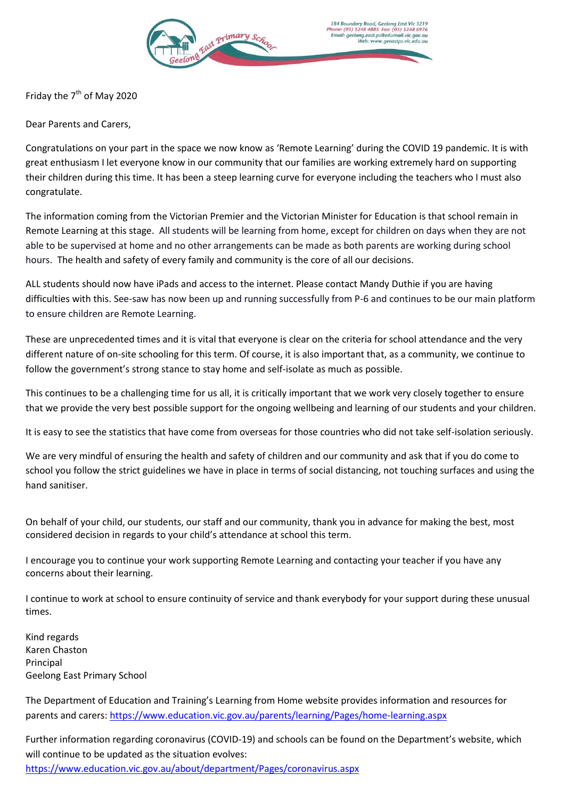

Friday the  $7<sup>th</sup>$  of May 2020

Dear Parents and Carers,

Congratulations on your part in the space we now know as 'Remote Learning' during the COVID 19 pandemic. It is with great enthusiasm I let everyone know in our community that our families are working extremely hard on supporting their children during this time. It has been a steep learning curve for everyone including the teachers who I must also congratulate.

The information coming from the Victorian Premier and the Victorian Minister for Education is that school remain in Remote Learning at this stage. All students will be learning from home, except for children on days when they are not able to be supervised at home and no other arrangements can be made as both parents are working during school hours. The health and safety of every family and community is the core of all our decisions.

ALL students should now have iPads and access to the internet. Please contact Mandy Duthie if you are having difficulties with this. See-saw has now been up and running successfully from P-6 and continues to be our main platform to ensure children are Remote Learning.

These are unprecedented times and it is vital that everyone is clear on the criteria for school attendance and the very different nature of on-site schooling for this term. Of course, it is also important that, as a community, we continue to follow the government's strong stance to stay home and self-isolate as much as possible.

This continues to be a challenging time for us all, it is critically important that we work very closely together to ensure that we provide the very best possible support for the ongoing wellbeing and learning of our students and your children.

It is easy to see the statistics that have come from overseas for those countries who did not take self-isolation seriously.

We are very mindful of ensuring the health and safety of children and our community and ask that if you do come to school you follow the strict guidelines we have in place in terms of social distancing, not touching surfaces and using the hand sanitiser.

On behalf of your child, our students, our staff and our community, thank you in advance for making the best, most considered decision in regards to your child's attendance at school this term.

I encourage you to continue your work supporting Remote Learning and contacting your teacher if you have any concerns about their learning.

I continue to work at school to ensure continuity of service and thank everybody for your support during these unusual times.

Kind regards Karen Chaston Principal Geelong East Primary School

The Department of Education and Training's Learning from Home website provides information and resources for parents and carers[: https://www.education.vic.gov.au/parents/learning/Pages/home-learning.aspx](https://www.education.vic.gov.au/parents/learning/Pages/home-learning.aspx)

Further information regarding coronavirus (COVID-19) and schools can be found on the Department's website, which will continue to be updated as the situation evolves: <https://www.education.vic.gov.au/about/department/Pages/coronavirus.aspx>